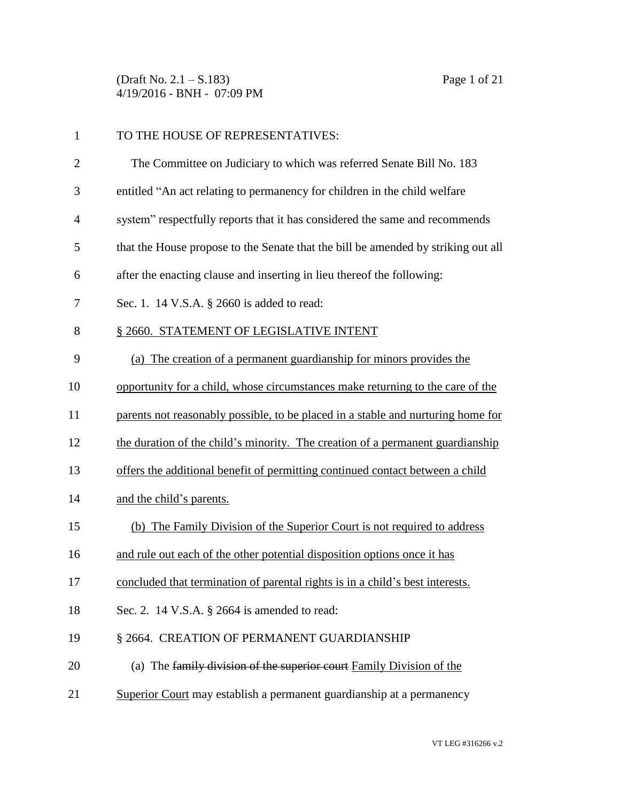(Draft No. 2.1 – S.183) Page 1 of 21 4/19/2016 - BNH - 07:09 PM

| $\mathbf{1}$ | TO THE HOUSE OF REPRESENTATIVES:                                                  |
|--------------|-----------------------------------------------------------------------------------|
| $\mathbf{2}$ | The Committee on Judiciary to which was referred Senate Bill No. 183              |
| 3            | entitled "An act relating to permanency for children in the child welfare         |
| 4            | system" respectfully reports that it has considered the same and recommends       |
| 5            | that the House propose to the Senate that the bill be amended by striking out all |
| 6            | after the enacting clause and inserting in lieu thereof the following:            |
| 7            | Sec. 1. 14 V.S.A. § 2660 is added to read:                                        |
| 8            | § 2660. STATEMENT OF LEGISLATIVE INTENT                                           |
| 9            | (a) The creation of a permanent guardianship for minors provides the              |
| 10           | opportunity for a child, whose circumstances make returning to the care of the    |
| 11           | parents not reasonably possible, to be placed in a stable and nurturing home for  |
| 12           | the duration of the child's minority. The creation of a permanent guardianship    |
| 13           | offers the additional benefit of permitting continued contact between a child     |
| 14           | and the child's parents.                                                          |
| 15           | (b) The Family Division of the Superior Court is not required to address          |
| 16           | and rule out each of the other potential disposition options once it has          |
| 17           | concluded that termination of parental rights is in a child's best interests.     |
| 18           | Sec. 2. 14 V.S.A. § 2664 is amended to read:                                      |
| 19           | § 2664. CREATION OF PERMANENT GUARDIANSHIP                                        |
| 20           | (a) The family division of the superior court Family Division of the              |
| 21           | Superior Court may establish a permanent guardianship at a permanency             |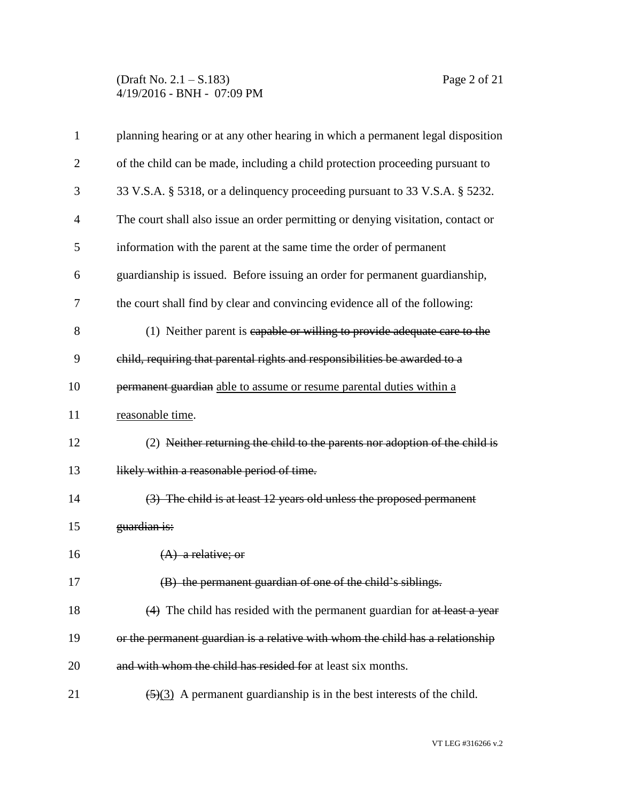(Draft No. 2.1 – S.183) Page 2 of 21 4/19/2016 - BNH - 07:09 PM

| $\mathbf{1}$   | planning hearing or at any other hearing in which a permanent legal disposition            |
|----------------|--------------------------------------------------------------------------------------------|
| $\overline{c}$ | of the child can be made, including a child protection proceeding pursuant to              |
| 3              | 33 V.S.A. § 5318, or a delinguency proceeding pursuant to 33 V.S.A. § 5232.                |
| 4              | The court shall also issue an order permitting or denying visitation, contact or           |
| 5              | information with the parent at the same time the order of permanent                        |
| 6              | guardianship is issued. Before issuing an order for permanent guardianship,                |
| 7              | the court shall find by clear and convincing evidence all of the following:                |
| 8              | (1) Neither parent is capable or willing to provide adequate care to the                   |
| 9              | child, requiring that parental rights and responsibilities be awarded to a                 |
| 10             | permanent guardian able to assume or resume parental duties within a                       |
| 11             | reasonable time.                                                                           |
| 12             | (2) Neither returning the child to the parents nor adoption of the child is                |
| 13             | likely within a reasonable period of time.                                                 |
| 14             | (3) The child is at least 12 years old unless the proposed permanent                       |
| 15             | guardian is:                                                                               |
| 16             | $(A)$ a relative; or                                                                       |
| 17             | (B) the permanent guardian of one of the child's siblings.                                 |
| 18             | (4) The child has resided with the permanent guardian for at least a year                  |
| 19             | or the permanent guardian is a relative with whom the child has a relationship             |
| 20             | and with whom the child has resided for at least six months.                               |
| 21             | $\left(\frac{5}{3}\right)$ A permanent guardianship is in the best interests of the child. |

VT LEG #316266 v.2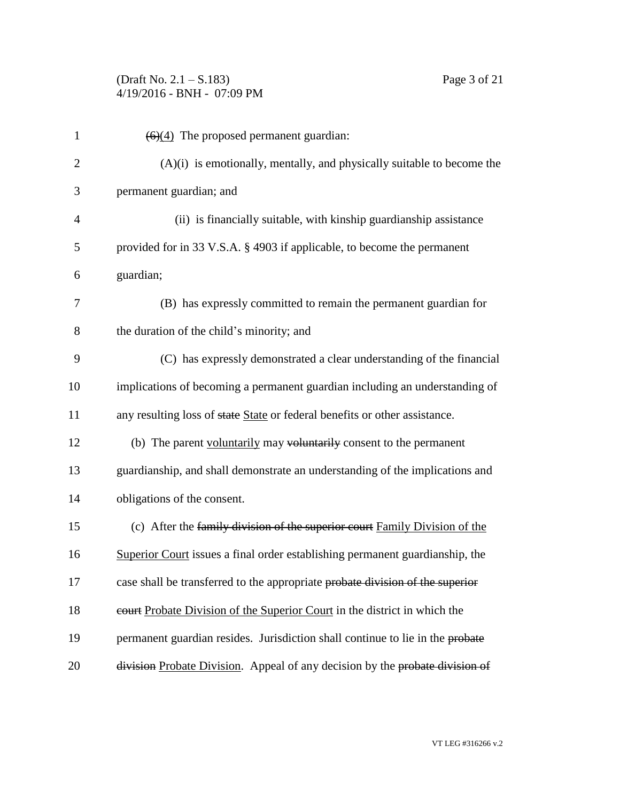(Draft No. 2.1 – S.183) Page 3 of 21 4/19/2016 - BNH - 07:09 PM

| $\mathbf{1}$   | $(6)(4)$ The proposed permanent guardian:                                     |
|----------------|-------------------------------------------------------------------------------|
| $\overline{2}$ | $(A)(i)$ is emotionally, mentally, and physically suitable to become the      |
| 3              | permanent guardian; and                                                       |
| $\overline{4}$ | (ii) is financially suitable, with kinship guardianship assistance            |
| 5              | provided for in 33 V.S.A. § 4903 if applicable, to become the permanent       |
| 6              | guardian;                                                                     |
| 7              | (B) has expressly committed to remain the permanent guardian for              |
| 8              | the duration of the child's minority; and                                     |
| 9              | (C) has expressly demonstrated a clear understanding of the financial         |
| 10             | implications of becoming a permanent guardian including an understanding of   |
| 11             | any resulting loss of state State or federal benefits or other assistance.    |
| 12             | (b) The parent voluntarily may voluntarily consent to the permanent           |
| 13             | guardianship, and shall demonstrate an understanding of the implications and  |
| 14             | obligations of the consent.                                                   |
| 15             | (c) After the family division of the superior court Family Division of the    |
| 16             | Superior Court issues a final order establishing permanent guardianship, the  |
| 17             | case shall be transferred to the appropriate probate division of the superior |
| 18             | eourt Probate Division of the Superior Court in the district in which the     |
| 19             | permanent guardian resides. Jurisdiction shall continue to lie in the probate |
| 20             | division Probate Division. Appeal of any decision by the probate division of  |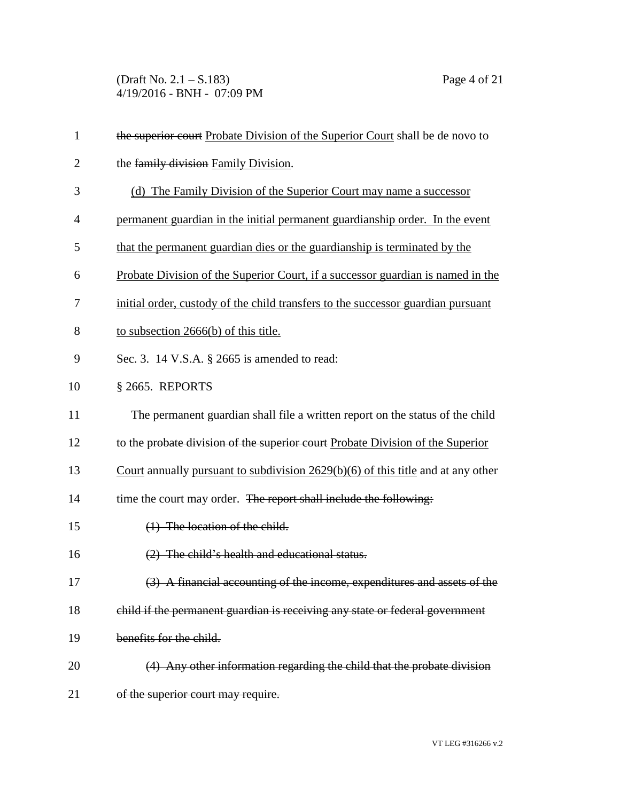(Draft No. 2.1 – S.183) Page 4 of 21 4/19/2016 - BNH - 07:09 PM

| $\mathbf{1}$   | the superior court Probate Division of the Superior Court shall be de novo to      |
|----------------|------------------------------------------------------------------------------------|
| $\overline{2}$ | the family division Family Division.                                               |
| 3              | (d) The Family Division of the Superior Court may name a successor                 |
| $\overline{4}$ | permanent guardian in the initial permanent guardianship order. In the event       |
| 5              | that the permanent guardian dies or the guardianship is terminated by the          |
| 6              | Probate Division of the Superior Court, if a successor guardian is named in the    |
| 7              | initial order, custody of the child transfers to the successor guardian pursuant   |
| 8              | to subsection $2666(b)$ of this title.                                             |
| 9              | Sec. 3. 14 V.S.A. § 2665 is amended to read:                                       |
| 10             | § 2665. REPORTS                                                                    |
| 11             | The permanent guardian shall file a written report on the status of the child      |
| 12             | to the probate division of the superior court Probate Division of the Superior     |
| 13             | Court annually pursuant to subdivision $2629(b)(6)$ of this title and at any other |
| 14             | time the court may order. The report shall include the following:                  |
| 15             | $(1)$ The location of the child.                                                   |
| 16             | (2) The child's health and educational status.                                     |
| 17             | (3) A financial accounting of the income, expenditures and assets of the           |
| 18             | child if the permanent guardian is receiving any state or federal government       |
| 19             | benefits for the child.                                                            |
| 20             | (4) Any other information regarding the child that the probate division            |
| 21             | of the superior court may require.                                                 |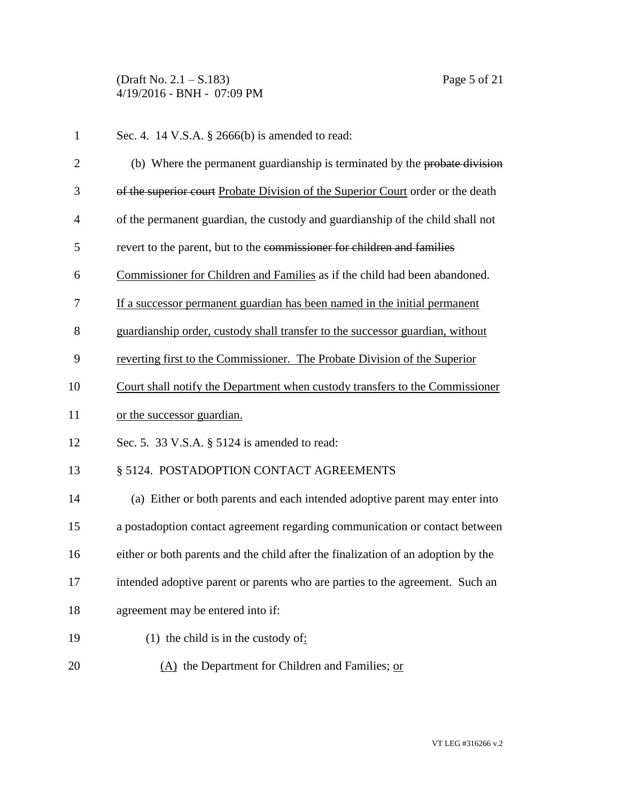(Draft No. 2.1 – S.183) Page 5 of 21 4/19/2016 - BNH - 07:09 PM

| $\mathbf{1}$   | Sec. 4. 14 V.S.A. § 2666(b) is amended to read:                                   |
|----------------|-----------------------------------------------------------------------------------|
| $\overline{2}$ | (b) Where the permanent guardianship is terminated by the probate division        |
| 3              | of the superior court Probate Division of the Superior Court order or the death   |
| 4              | of the permanent guardian, the custody and guardianship of the child shall not    |
| 5              | revert to the parent, but to the commissioner for children and families           |
| 6              | Commissioner for Children and Families as if the child had been abandoned.        |
| 7              | If a successor permanent guardian has been named in the initial permanent         |
| 8              | guardianship order, custody shall transfer to the successor guardian, without     |
| 9              | reverting first to the Commissioner. The Probate Division of the Superior         |
| 10             | Court shall notify the Department when custody transfers to the Commissioner      |
| 11             | or the successor guardian.                                                        |
| 12             | Sec. 5. 33 V.S.A. § 5124 is amended to read:                                      |
| 13             | § 5124. POSTADOPTION CONTACT AGREEMENTS                                           |
| 14             | (a) Either or both parents and each intended adoptive parent may enter into       |
| 15             | a postadoption contact agreement regarding communication or contact between       |
| 16             | either or both parents and the child after the finalization of an adoption by the |
| 17             | intended adoptive parent or parents who are parties to the agreement. Such an     |
| 18             | agreement may be entered into if:                                                 |
| 19             | (1) the child is in the custody of:                                               |
| 20             | (A) the Department for Children and Families; or                                  |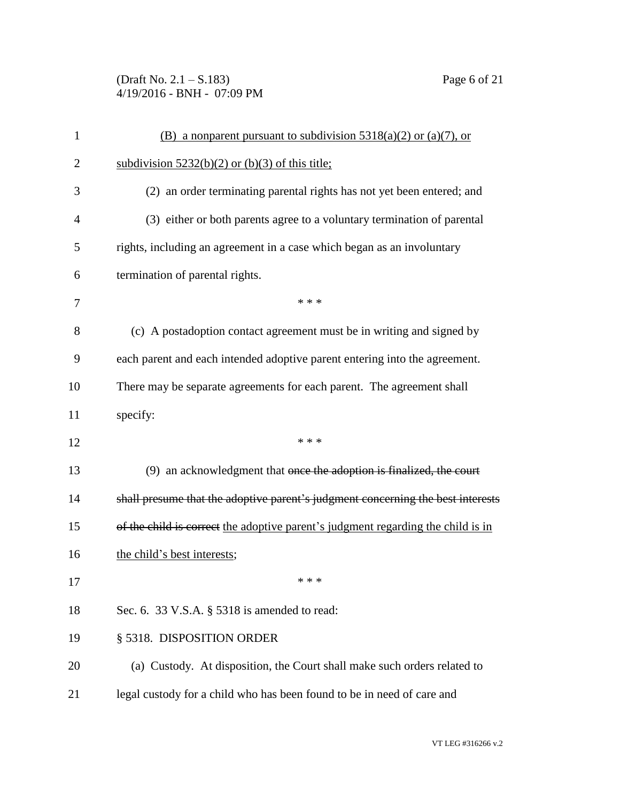(Draft No. 2.1 – S.183) Page 6 of 21 4/19/2016 - BNH - 07:09 PM

| 1              | (B) a nonparent pursuant to subdivision $5318(a)(2)$ or $(a)(7)$ , or            |
|----------------|----------------------------------------------------------------------------------|
| $\overline{2}$ | subdivision $5232(b)(2)$ or (b)(3) of this title;                                |
| 3              | (2) an order terminating parental rights has not yet been entered; and           |
| $\overline{4}$ | (3) either or both parents agree to a voluntary termination of parental          |
| 5              | rights, including an agreement in a case which began as an involuntary           |
| 6              | termination of parental rights.                                                  |
| 7              | * * *                                                                            |
| 8              | (c) A postadoption contact agreement must be in writing and signed by            |
| 9              | each parent and each intended adoptive parent entering into the agreement.       |
| 10             | There may be separate agreements for each parent. The agreement shall            |
| 11             | specify:                                                                         |
| 12             | * * *                                                                            |
| 13             | (9) an acknowledgment that once the adoption is finalized, the court             |
| 14             | shall presume that the adoptive parent's judgment concerning the best interests  |
| 15             | of the child is correct the adoptive parent's judgment regarding the child is in |
| 16             | the child's best interests;                                                      |
| 17             | * * *                                                                            |
| 18             | Sec. 6. 33 V.S.A. § 5318 is amended to read:                                     |
| 19             | § 5318. DISPOSITION ORDER                                                        |
| 20             | (a) Custody. At disposition, the Court shall make such orders related to         |
| 21             | legal custody for a child who has been found to be in need of care and           |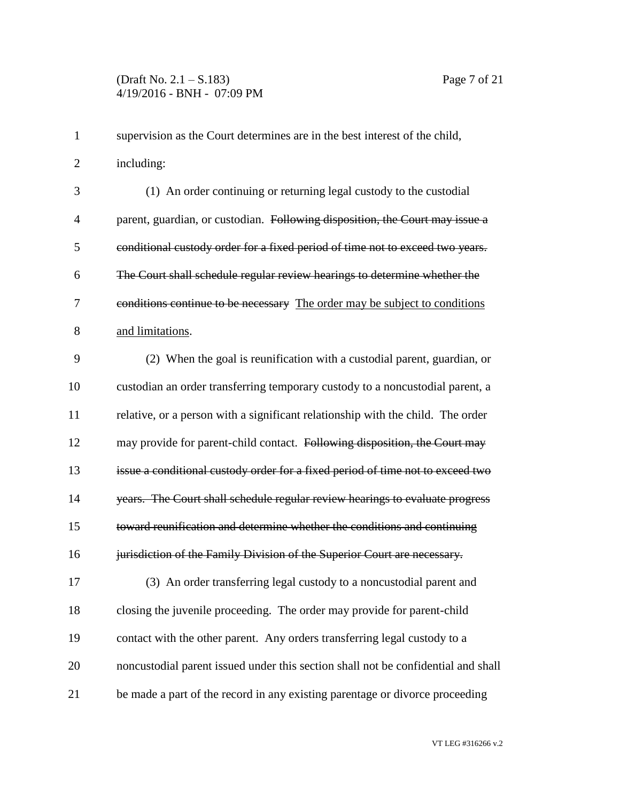| 1              | supervision as the Court determines are in the best interest of the child,        |
|----------------|-----------------------------------------------------------------------------------|
| $\overline{2}$ | including:                                                                        |
| 3              | (1) An order continuing or returning legal custody to the custodial               |
| 4              | parent, guardian, or custodian. Following disposition, the Court may issue a      |
| 5              | conditional custody order for a fixed period of time not to exceed two years.     |
| 6              | The Court shall schedule regular review hearings to determine whether the         |
| 7              | conditions continue to be necessary The order may be subject to conditions        |
| 8              | and limitations.                                                                  |
| 9              | (2) When the goal is reunification with a custodial parent, guardian, or          |
| 10             | custodian an order transferring temporary custody to a noncustodial parent, a     |
| 11             | relative, or a person with a significant relationship with the child. The order   |
| 12             | may provide for parent-child contact. Following disposition, the Court may        |
| 13             | issue a conditional custody order for a fixed period of time not to exceed two    |
| 14             | years. The Court shall schedule regular review hearings to evaluate progress      |
| 15             | toward reunification and determine whether the conditions and continuing          |
| 16             | jurisdiction of the Family Division of the Superior Court are necessary.          |
| 17             | (3) An order transferring legal custody to a noncustodial parent and              |
| 18             | closing the juvenile proceeding. The order may provide for parent-child           |
| 19             | contact with the other parent. Any orders transferring legal custody to a         |
| 20             | noncustodial parent issued under this section shall not be confidential and shall |
| 21             | be made a part of the record in any existing parentage or divorce proceeding      |

VT LEG #316266 v.2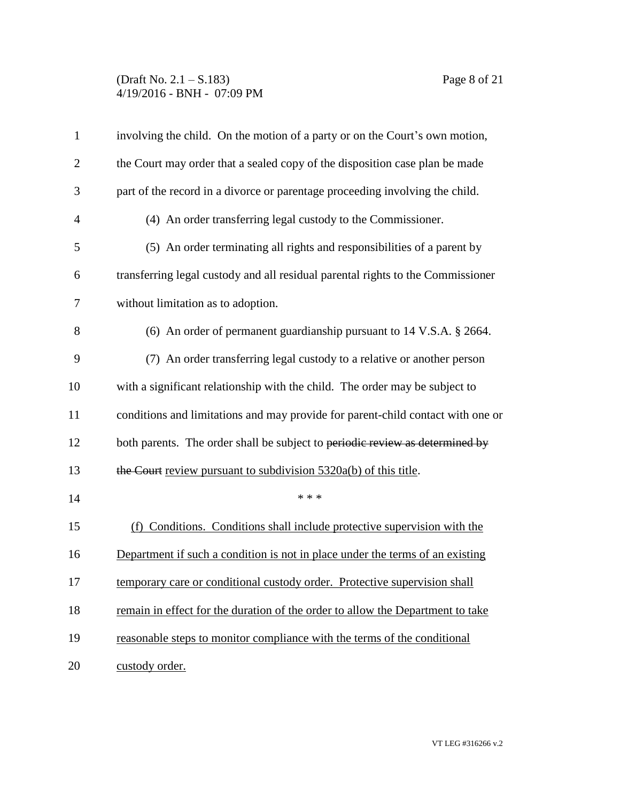## (Draft No. 2.1 – S.183) Page 8 of 21 4/19/2016 - BNH - 07:09 PM

| $\mathbf{1}$   | involving the child. On the motion of a party or on the Court's own motion,      |
|----------------|----------------------------------------------------------------------------------|
| $\overline{2}$ | the Court may order that a sealed copy of the disposition case plan be made      |
| 3              | part of the record in a divorce or parentage proceeding involving the child.     |
| $\overline{4}$ | (4) An order transferring legal custody to the Commissioner.                     |
| 5              | (5) An order terminating all rights and responsibilities of a parent by          |
| 6              | transferring legal custody and all residual parental rights to the Commissioner  |
| 7              | without limitation as to adoption.                                               |
| 8              | (6) An order of permanent guardianship pursuant to $14 \text{ V.S.A. }$ \$ 2664. |
| 9              | (7) An order transferring legal custody to a relative or another person          |
| 10             | with a significant relationship with the child. The order may be subject to      |
| 11             | conditions and limitations and may provide for parent-child contact with one or  |
| 12             | both parents. The order shall be subject to periodic review as determined by     |
| 13             | the Court review pursuant to subdivision $5320a(b)$ of this title.               |
| 14             | * * *                                                                            |
| 15             | (f) Conditions. Conditions shall include protective supervision with the         |
| 16             | Department if such a condition is not in place under the terms of an existing    |
| 17             | temporary care or conditional custody order. Protective supervision shall        |
| 18             | remain in effect for the duration of the order to allow the Department to take   |
| 19             | reasonable steps to monitor compliance with the terms of the conditional         |
| 20             | custody order.                                                                   |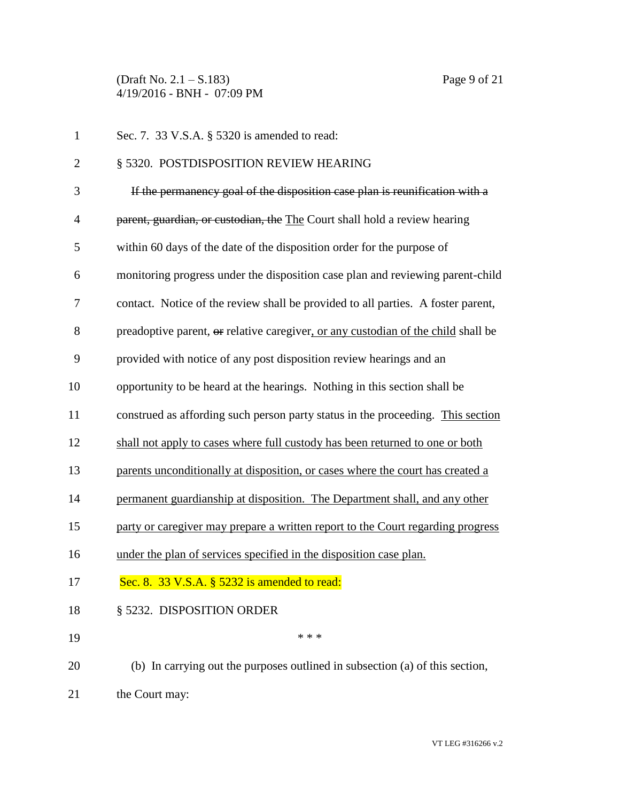(Draft No. 2.1 – S.183) Page 9 of 21 4/19/2016 - BNH - 07:09 PM

| $\mathbf{1}$   | Sec. 7. 33 V.S.A. § 5320 is amended to read:                                      |
|----------------|-----------------------------------------------------------------------------------|
| $\overline{2}$ | § 5320. POSTDISPOSITION REVIEW HEARING                                            |
| 3              | If the permanency goal of the disposition case plan is reunification with a       |
| $\overline{4}$ | parent, guardian, or custodian, the The Court shall hold a review hearing         |
| 5              | within 60 days of the date of the disposition order for the purpose of            |
| 6              | monitoring progress under the disposition case plan and reviewing parent-child    |
| $\overline{7}$ | contact. Notice of the review shall be provided to all parties. A foster parent,  |
| 8              | preadoptive parent, or relative caregiver, or any custodian of the child shall be |
| 9              | provided with notice of any post disposition review hearings and an               |
| 10             | opportunity to be heard at the hearings. Nothing in this section shall be         |
| 11             | construed as affording such person party status in the proceeding. This section   |
| 12             | shall not apply to cases where full custody has been returned to one or both      |
| 13             | parents unconditionally at disposition, or cases where the court has created a    |
| 14             | permanent guardianship at disposition. The Department shall, and any other        |
| 15             | party or caregiver may prepare a written report to the Court regarding progress   |
| 16             | under the plan of services specified in the disposition case plan.                |
| 17             | Sec. 8. 33 V.S.A. § 5232 is amended to read:                                      |
| 18             | § 5232. DISPOSITION ORDER                                                         |
| 19             | * * *                                                                             |
| 20             | (b) In carrying out the purposes outlined in subsection (a) of this section,      |
| 21             | the Court may:                                                                    |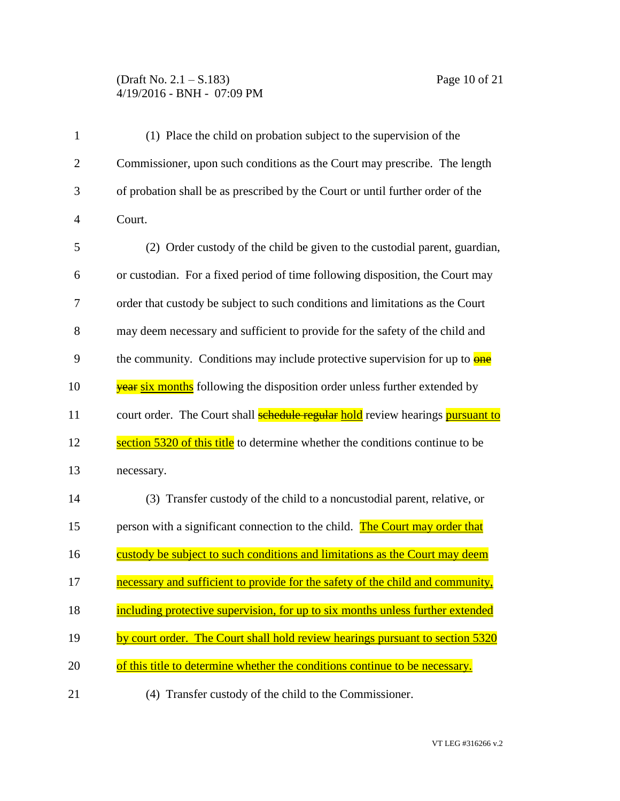## (Draft No. 2.1 – S.183) Page 10 of 21 4/19/2016 - BNH - 07:09 PM

| $\mathbf{1}$   | (1) Place the child on probation subject to the supervision of the                           |
|----------------|----------------------------------------------------------------------------------------------|
| $\overline{2}$ | Commissioner, upon such conditions as the Court may prescribe. The length                    |
| 3              | of probation shall be as prescribed by the Court or until further order of the               |
| $\overline{4}$ | Court.                                                                                       |
| 5              | (2) Order custody of the child be given to the custodial parent, guardian,                   |
| 6              | or custodian. For a fixed period of time following disposition, the Court may                |
| 7              | order that custody be subject to such conditions and limitations as the Court                |
| 8              | may deem necessary and sufficient to provide for the safety of the child and                 |
| 9              | the community. Conditions may include protective supervision for up to <b>one</b>            |
| 10             | <b>year six months</b> following the disposition order unless further extended by            |
| 11             | court order. The Court shall <b>schedule regular hold</b> review hearings <b>pursuant to</b> |
| 12             | section 5320 of this title to determine whether the conditions continue to be                |
| 13             | necessary.                                                                                   |
| 14             | (3) Transfer custody of the child to a noncustodial parent, relative, or                     |
| 15             | person with a significant connection to the child. The Court may order that                  |
| 16             | custody be subject to such conditions and limitations as the Court may deem                  |
| 17             | necessary and sufficient to provide for the safety of the child and community,               |
| 18             | including protective supervision, for up to six months unless further extended               |
| 19             | by court order. The Court shall hold review hearings pursuant to section 5320                |
| 20             | of this title to determine whether the conditions continue to be necessary.                  |
| 21             | (4) Transfer custody of the child to the Commissioner.                                       |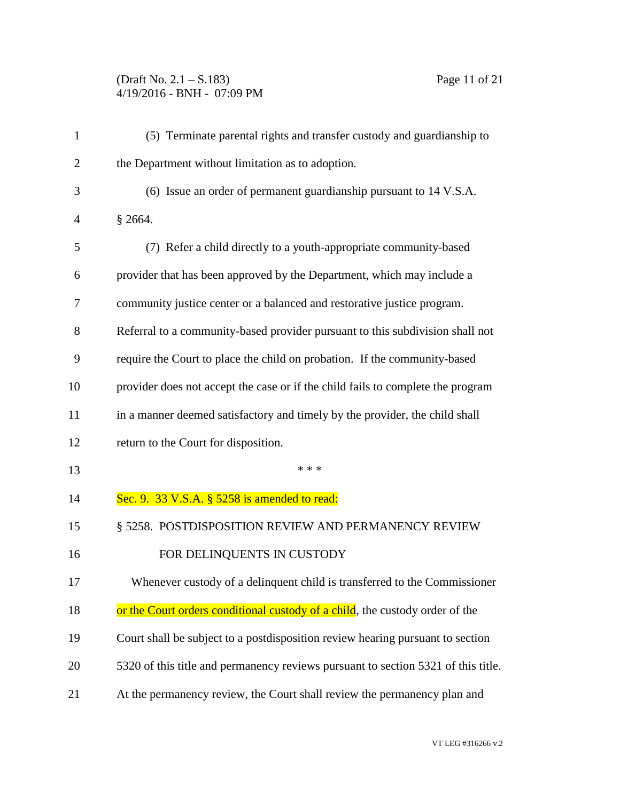## (Draft No. 2.1 – S.183) Page 11 of 21 4/19/2016 - BNH - 07:09 PM

| $\mathbf{1}$ | (5) Terminate parental rights and transfer custody and guardianship to            |
|--------------|-----------------------------------------------------------------------------------|
| 2            | the Department without limitation as to adoption.                                 |
| 3            | (6) Issue an order of permanent guardianship pursuant to 14 V.S.A.                |
| 4            | \$2664.                                                                           |
| 5            | (7) Refer a child directly to a youth-appropriate community-based                 |
| 6            | provider that has been approved by the Department, which may include a            |
| 7            | community justice center or a balanced and restorative justice program.           |
| 8            | Referral to a community-based provider pursuant to this subdivision shall not     |
| 9            | require the Court to place the child on probation. If the community-based         |
| 10           | provider does not accept the case or if the child fails to complete the program   |
| 11           | in a manner deemed satisfactory and timely by the provider, the child shall       |
| 12           | return to the Court for disposition.                                              |
| 13           | * * *                                                                             |
| 14           | Sec. 9. 33 V.S.A. § 5258 is amended to read:                                      |
| 15           | § 5258. POSTDISPOSITION REVIEW AND PERMANENCY REVIEW                              |
| 16           | FOR DELINQUENTS IN CUSTODY                                                        |
| 17           | Whenever custody of a delinquent child is transferred to the Commissioner         |
| 18           | or the Court orders conditional custody of a child, the custody order of the      |
| 19           | Court shall be subject to a postdisposition review hearing pursuant to section    |
| 20           | 5320 of this title and permanency reviews pursuant to section 5321 of this title. |
| 21           | At the permanency review, the Court shall review the permanency plan and          |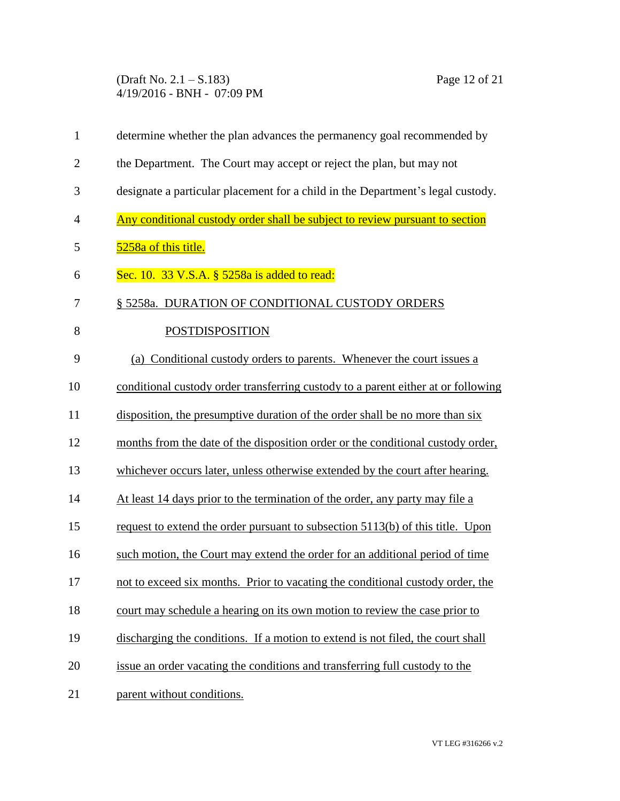(Draft No. 2.1 – S.183) Page 12 of 21 4/19/2016 - BNH - 07:09 PM

| $\mathbf{1}$   | determine whether the plan advances the permanency goal recommended by            |
|----------------|-----------------------------------------------------------------------------------|
| $\overline{2}$ | the Department. The Court may accept or reject the plan, but may not              |
| 3              | designate a particular placement for a child in the Department's legal custody.   |
| $\overline{4}$ | Any conditional custody order shall be subject to review pursuant to section      |
| 5              | 5258a of this title.                                                              |
| 6              | Sec. 10. 33 V.S.A. § 5258a is added to read:                                      |
| 7              | § 5258a. DURATION OF CONDITIONAL CUSTODY ORDERS                                   |
| 8              | POSTDISPOSITION                                                                   |
| 9              | (a) Conditional custody orders to parents. Whenever the court issues a            |
| 10             | conditional custody order transferring custody to a parent either at or following |
| 11             | disposition, the presumptive duration of the order shall be no more than six      |
| 12             | months from the date of the disposition order or the conditional custody order,   |
| 13             | whichever occurs later, unless otherwise extended by the court after hearing.     |
| 14             | At least 14 days prior to the termination of the order, any party may file a      |
| 15             | request to extend the order pursuant to subsection 5113(b) of this title. Upon    |
| 16             | such motion, the Court may extend the order for an additional period of time      |
| 17             | not to exceed six months. Prior to vacating the conditional custody order, the    |
| 18             | court may schedule a hearing on its own motion to review the case prior to        |
| 19             | discharging the conditions. If a motion to extend is not filed, the court shall   |
| 20             | issue an order vacating the conditions and transferring full custody to the       |
| 21             | parent without conditions.                                                        |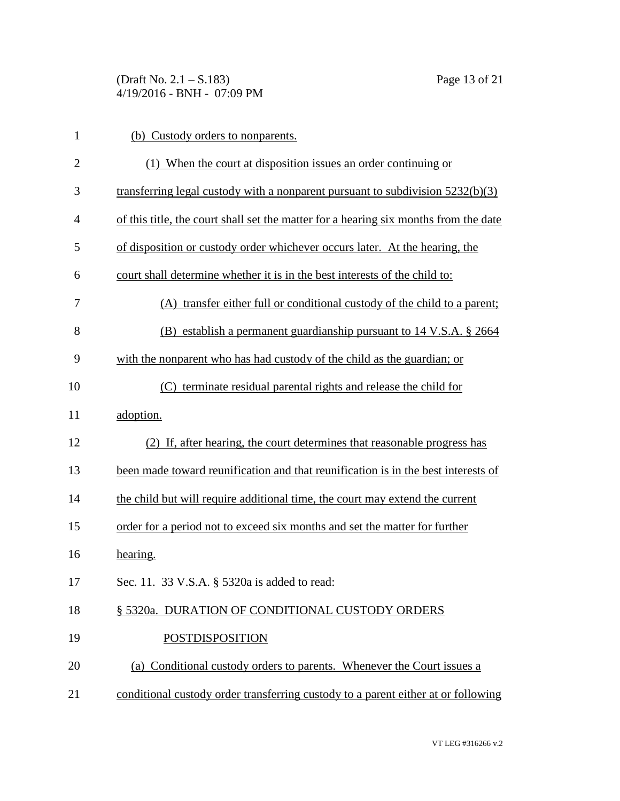(Draft No. 2.1 – S.183) Page 13 of 21 4/19/2016 - BNH - 07:09 PM

| $\mathbf{1}$   | (b) Custody orders to nonparents.                                                    |
|----------------|--------------------------------------------------------------------------------------|
| $\overline{2}$ | (1) When the court at disposition issues an order continuing or                      |
| 3              | transferring legal custody with a nonparent pursuant to subdivision $5232(b)(3)$     |
| $\overline{4}$ | of this title, the court shall set the matter for a hearing six months from the date |
| 5              | of disposition or custody order whichever occurs later. At the hearing, the          |
| 6              | court shall determine whether it is in the best interests of the child to:           |
| 7              | (A) transfer either full or conditional custody of the child to a parent;            |
| 8              | (B) establish a permanent guardianship pursuant to $14 \text{ V.S.A.}$ \$ 2664       |
| 9              | with the nonparent who has had custody of the child as the guardian; or              |
| 10             | (C) terminate residual parental rights and release the child for                     |
| 11             | adoption.                                                                            |
| 12             | (2) If, after hearing, the court determines that reasonable progress has             |
| 13             | been made toward reunification and that reunification is in the best interests of    |
| 14             | the child but will require additional time, the court may extend the current         |
| 15             | order for a period not to exceed six months and set the matter for further           |
| 16             | hearing.                                                                             |
| 17             | Sec. 11. 33 V.S.A. § 5320a is added to read:                                         |
| 18             | § 5320a. DURATION OF CONDITIONAL CUSTODY ORDERS                                      |
| 19             | <b>POSTDISPOSITION</b>                                                               |
| 20             | (a) Conditional custody orders to parents. Whenever the Court issues a               |
| 21             | conditional custody order transferring custody to a parent either at or following    |
|                |                                                                                      |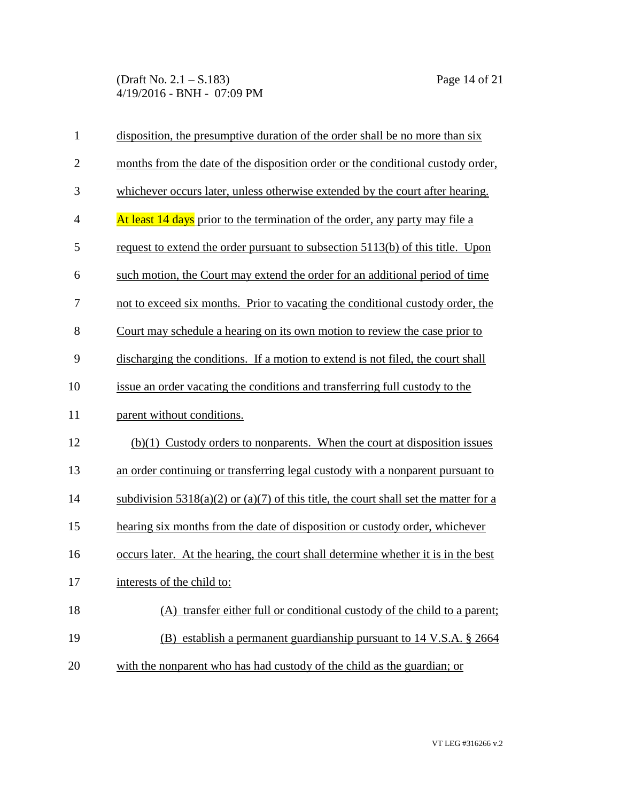(Draft No. 2.1 – S.183) Page 14 of 21 4/19/2016 - BNH - 07:09 PM

| $\mathbf{1}$   | disposition, the presumptive duration of the order shall be no more than six             |
|----------------|------------------------------------------------------------------------------------------|
| $\overline{2}$ | months from the date of the disposition order or the conditional custody order,          |
| 3              | whichever occurs later, unless otherwise extended by the court after hearing.            |
| $\overline{4}$ | At least 14 days prior to the termination of the order, any party may file a             |
| 5              | request to extend the order pursuant to subsection 5113(b) of this title. Upon           |
| 6              | such motion, the Court may extend the order for an additional period of time             |
| 7              | not to exceed six months. Prior to vacating the conditional custody order, the           |
| 8              | Court may schedule a hearing on its own motion to review the case prior to               |
| 9              | discharging the conditions. If a motion to extend is not filed, the court shall          |
| 10             | issue an order vacating the conditions and transferring full custody to the              |
| 11             | parent without conditions.                                                               |
| 12             | $(b)(1)$ Custody orders to nonparents. When the court at disposition issues              |
| 13             | an order continuing or transferring legal custody with a nonparent pursuant to           |
| 14             | subdivision $5318(a)(2)$ or $(a)(7)$ of this title, the court shall set the matter for a |
| 15             | hearing six months from the date of disposition or custody order, whichever              |
| 16             | occurs later. At the hearing, the court shall determine whether it is in the best        |
| 17             | interests of the child to:                                                               |
| 18             | (A) transfer either full or conditional custody of the child to a parent;                |
| 19             | (B) establish a permanent guardianship pursuant to 14 V.S.A. § 2664                      |
| 20             | with the nonparent who has had custody of the child as the guardian; or                  |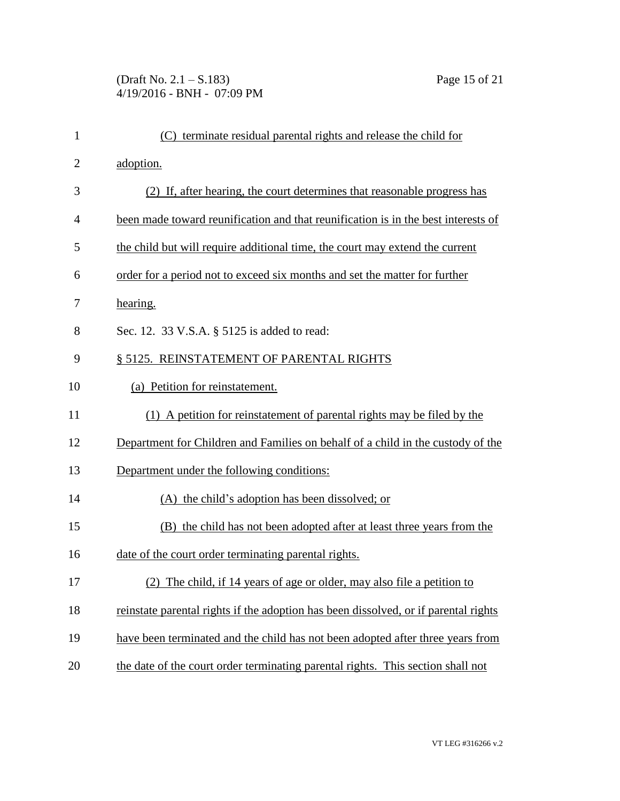(Draft No. 2.1 – S.183) Page 15 of 21 4/19/2016 - BNH - 07:09 PM

| $\mathbf{1}$   | (C) terminate residual parental rights and release the child for                    |
|----------------|-------------------------------------------------------------------------------------|
| $\overline{2}$ | adoption.                                                                           |
| 3              | (2) If, after hearing, the court determines that reasonable progress has            |
| $\overline{4}$ | been made toward reunification and that reunification is in the best interests of   |
| 5              | the child but will require additional time, the court may extend the current        |
| 6              | order for a period not to exceed six months and set the matter for further          |
| 7              | hearing.                                                                            |
| 8              | Sec. 12. 33 V.S.A. § 5125 is added to read:                                         |
| 9              | § 5125. REINSTATEMENT OF PARENTAL RIGHTS                                            |
| 10             | (a) Petition for reinstatement.                                                     |
| 11             | (1) A petition for reinstatement of parental rights may be filed by the             |
| 12             | Department for Children and Families on behalf of a child in the custody of the     |
| 13             | Department under the following conditions:                                          |
| 14             | (A) the child's adoption has been dissolved; or                                     |
| 15             | (B) the child has not been adopted after at least three years from the              |
| 16             | date of the court order terminating parental rights.                                |
| 17             | (2) The child, if 14 years of age or older, may also file a petition to             |
| 18             | reinstate parental rights if the adoption has been dissolved, or if parental rights |
| 19             | have been terminated and the child has not been adopted after three years from      |
| 20             | the date of the court order terminating parental rights. This section shall not     |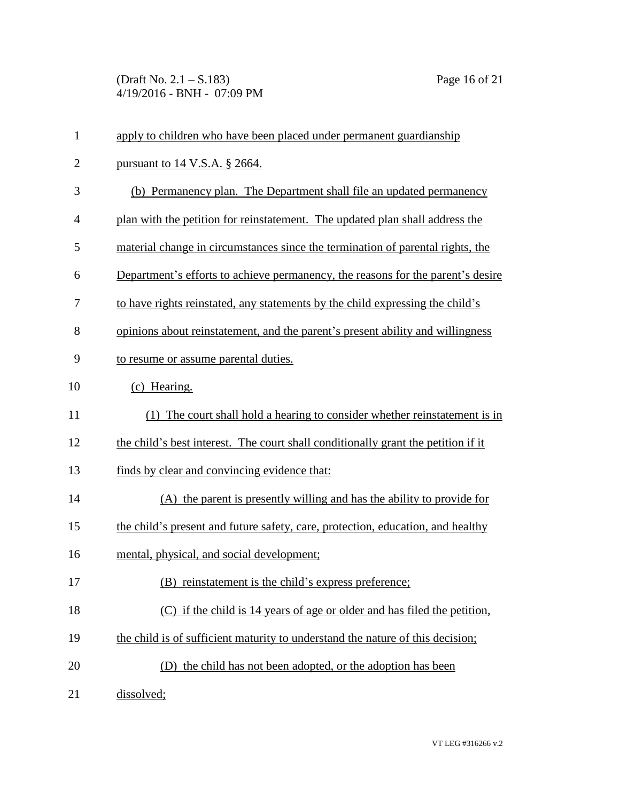(Draft No. 2.1 – S.183) Page 16 of 21 4/19/2016 - BNH - 07:09 PM

| $\mathbf{1}$ | apply to children who have been placed under permanent guardianship               |
|--------------|-----------------------------------------------------------------------------------|
| $\mathbf{2}$ | pursuant to $14$ V.S.A. § 2664.                                                   |
| 3            | (b) Permanency plan. The Department shall file an updated permanency              |
| 4            | plan with the petition for reinstatement. The updated plan shall address the      |
| 5            | material change in circumstances since the termination of parental rights, the    |
| 6            | Department's efforts to achieve permanency, the reasons for the parent's desire   |
| 7            | to have rights reinstated, any statements by the child expressing the child's     |
| 8            | opinions about reinstatement, and the parent's present ability and willingness    |
| 9            | to resume or assume parental duties.                                              |
| 10           | (c) Hearing.                                                                      |
| 11           | (1) The court shall hold a hearing to consider whether reinstatement is in        |
| 12           | the child's best interest. The court shall conditionally grant the petition if it |
| 13           | finds by clear and convincing evidence that:                                      |
| 14           | (A) the parent is presently willing and has the ability to provide for            |
| 15           | the child's present and future safety, care, protection, education, and healthy   |
| 16           | mental, physical, and social development;                                         |
| 17           | (B) reinstatement is the child's express preference;                              |
| 18           | (C) if the child is 14 years of age or older and has filed the petition,          |
| 19           | the child is of sufficient maturity to understand the nature of this decision;    |
| 20           | (D) the child has not been adopted, or the adoption has been                      |
| 21           | dissolved;                                                                        |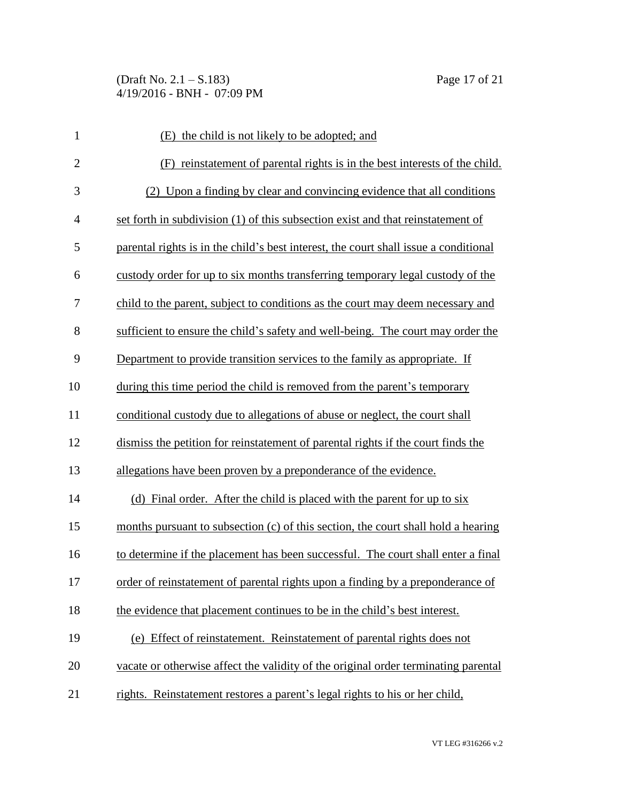| $\mathbf{1}$   | (E) the child is not likely to be adopted; and                                       |
|----------------|--------------------------------------------------------------------------------------|
| $\overline{2}$ | (F) reinstatement of parental rights is in the best interests of the child.          |
| 3              | (2) Upon a finding by clear and convincing evidence that all conditions              |
| $\overline{4}$ | set forth in subdivision (1) of this subsection exist and that reinstatement of      |
| 5              | parental rights is in the child's best interest, the court shall issue a conditional |
| 6              | custody order for up to six months transferring temporary legal custody of the       |
| 7              | child to the parent, subject to conditions as the court may deem necessary and       |
| 8              | sufficient to ensure the child's safety and well-being. The court may order the      |
| 9              | Department to provide transition services to the family as appropriate. If           |
| 10             | during this time period the child is removed from the parent's temporary             |
| 11             | conditional custody due to allegations of abuse or neglect, the court shall          |
| 12             | dismiss the petition for reinstatement of parental rights if the court finds the     |
| 13             | allegations have been proven by a preponderance of the evidence.                     |
| 14             | (d) Final order. After the child is placed with the parent for up to six             |
| 15             | months pursuant to subsection (c) of this section, the court shall hold a hearing    |
| 16             | to determine if the placement has been successful. The court shall enter a final     |
| 17             | order of reinstatement of parental rights upon a finding by a preponderance of       |
| 18             | the evidence that placement continues to be in the child's best interest.            |
| 19             | (e) Effect of reinstatement. Reinstatement of parental rights does not               |
| 20             | vacate or otherwise affect the validity of the original order terminating parental   |
| 21             | rights. Reinstatement restores a parent's legal rights to his or her child,          |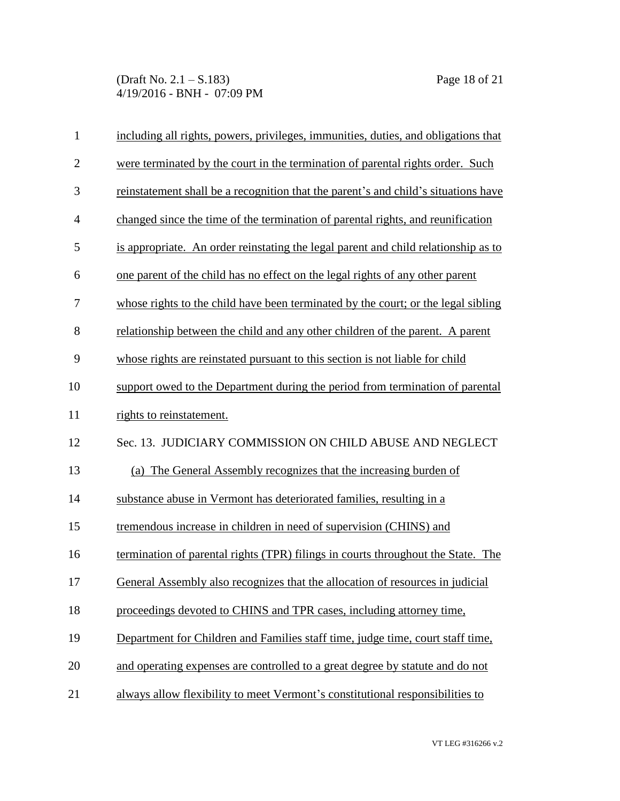(Draft No. 2.1 – S.183) Page 18 of 21 4/19/2016 - BNH - 07:09 PM

| $\mathbf{1}$   | including all rights, powers, privileges, immunities, duties, and obligations that |
|----------------|------------------------------------------------------------------------------------|
| $\overline{2}$ | were terminated by the court in the termination of parental rights order. Such     |
| 3              | reinstatement shall be a recognition that the parent's and child's situations have |
| $\overline{4}$ | changed since the time of the termination of parental rights, and reunification    |
| 5              | is appropriate. An order reinstating the legal parent and child relationship as to |
| 6              | one parent of the child has no effect on the legal rights of any other parent      |
| 7              | whose rights to the child have been terminated by the court; or the legal sibling  |
| 8              | relationship between the child and any other children of the parent. A parent      |
| 9              | whose rights are reinstated pursuant to this section is not liable for child       |
| 10             | support owed to the Department during the period from termination of parental      |
| 11             | rights to reinstatement.                                                           |
| 12             | Sec. 13. JUDICIARY COMMISSION ON CHILD ABUSE AND NEGLECT                           |
| 13             | (a) The General Assembly recognizes that the increasing burden of                  |
| 14             | substance abuse in Vermont has deteriorated families, resulting in a               |
| 15             | tremendous increase in children in need of supervision (CHINS) and                 |
| 16             | termination of parental rights (TPR) filings in courts throughout the State. The   |
| 17             | General Assembly also recognizes that the allocation of resources in judicial      |
| 18             | proceedings devoted to CHINS and TPR cases, including attorney time,               |
| 19             | Department for Children and Families staff time, judge time, court staff time,     |
| 20             | and operating expenses are controlled to a great degree by statute and do not      |
| 21             | always allow flexibility to meet Vermont's constitutional responsibilities to      |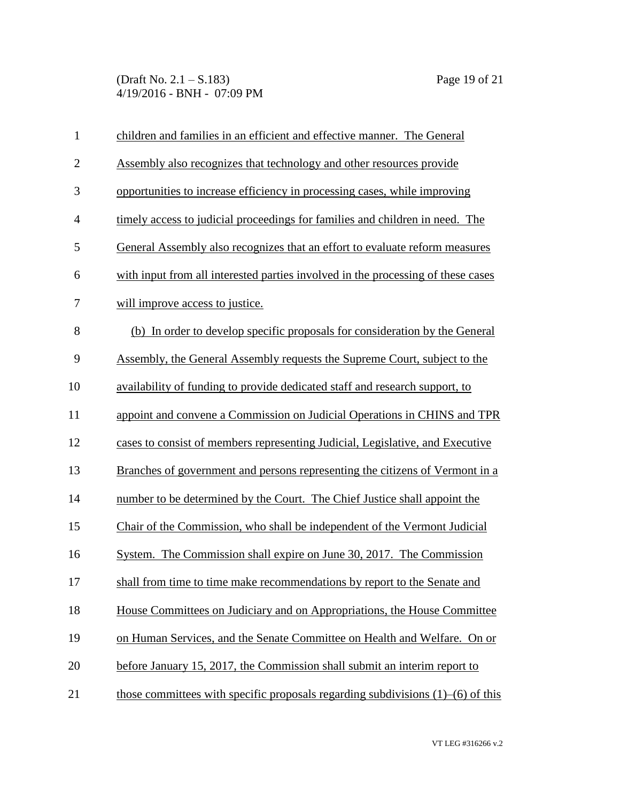(Draft No. 2.1 – S.183) Page 19 of 21 4/19/2016 - BNH - 07:09 PM

| $\mathbf{1}$   | children and families in an efficient and effective manner. The General               |
|----------------|---------------------------------------------------------------------------------------|
| $\overline{2}$ | Assembly also recognizes that technology and other resources provide                  |
| $\mathfrak{Z}$ | opportunities to increase efficiency in processing cases, while improving             |
| $\overline{4}$ | timely access to judicial proceedings for families and children in need. The          |
| 5              | General Assembly also recognizes that an effort to evaluate reform measures           |
| 6              | with input from all interested parties involved in the processing of these cases      |
| 7              | will improve access to justice.                                                       |
| 8              | (b) In order to develop specific proposals for consideration by the General           |
| 9              | Assembly, the General Assembly requests the Supreme Court, subject to the             |
| 10             | availability of funding to provide dedicated staff and research support, to           |
| 11             | appoint and convene a Commission on Judicial Operations in CHINS and TPR              |
| 12             | cases to consist of members representing Judicial, Legislative, and Executive         |
| 13             | Branches of government and persons representing the citizens of Vermont in a          |
| 14             | number to be determined by the Court. The Chief Justice shall appoint the             |
| 15             | Chair of the Commission, who shall be independent of the Vermont Judicial             |
| 16             | System. The Commission shall expire on June 30, 2017. The Commission                  |
| 17             | shall from time to time make recommendations by report to the Senate and              |
| 18             | House Committees on Judiciary and on Appropriations, the House Committee              |
| 19             | on Human Services, and the Senate Committee on Health and Welfare. On or              |
| 20             | before January 15, 2017, the Commission shall submit an interim report to             |
| 21             | those committees with specific proposals regarding subdivisions $(1)$ – $(6)$ of this |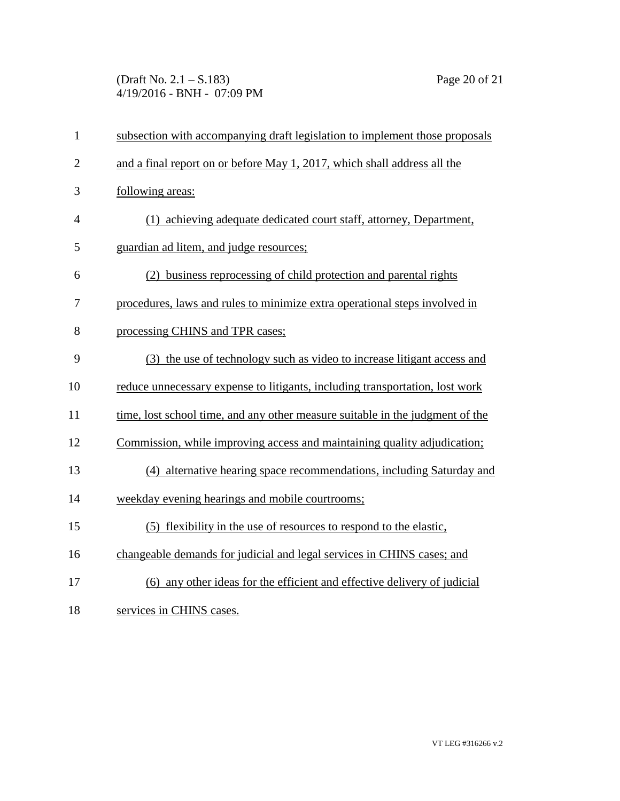(Draft No. 2.1 – S.183) Page 20 of 21 4/19/2016 - BNH - 07:09 PM

| $\mathbf{1}$   | subsection with accompanying draft legislation to implement those proposals   |
|----------------|-------------------------------------------------------------------------------|
| $\overline{2}$ | and a final report on or before May 1, 2017, which shall address all the      |
| 3              | following areas:                                                              |
| 4              | (1) achieving adequate dedicated court staff, attorney, Department,           |
| 5              | guardian ad litem, and judge resources;                                       |
| 6              | (2) business reprocessing of child protection and parental rights             |
| 7              | procedures, laws and rules to minimize extra operational steps involved in    |
| 8              | processing CHINS and TPR cases;                                               |
| 9              | (3) the use of technology such as video to increase litigant access and       |
| 10             | reduce unnecessary expense to litigants, including transportation, lost work  |
| 11             | time, lost school time, and any other measure suitable in the judgment of the |
| 12             | Commission, while improving access and maintaining quality adjudication;      |
| 13             | (4) alternative hearing space recommendations, including Saturday and         |
| 14             | weekday evening hearings and mobile courtrooms;                               |
| 15             | (5) flexibility in the use of resources to respond to the elastic,            |
| 16             | changeable demands for judicial and legal services in CHINS cases; and        |
| 17             | (6) any other ideas for the efficient and effective delivery of judicial      |
| 18             | services in CHINS cases.                                                      |